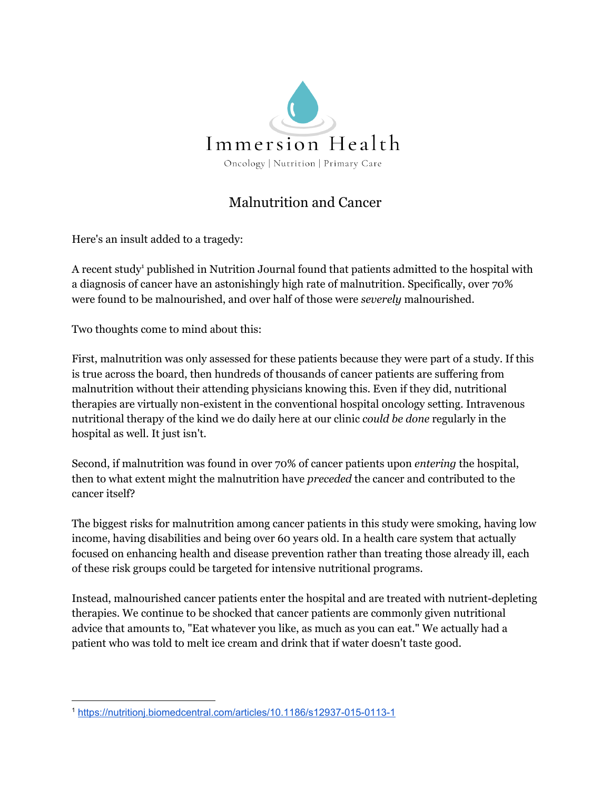

## Malnutrition and Cancer

Here's an insult added to a tragedy:

A recent study<sup>1</sup> published in Nutrition Journal found that patients admitted to the hospital with a diagnosis of cancer have an astonishingly high rate of malnutrition. Specifically, over 70% were found to be malnourished, and over half of those were *severely* malnourished.

Two thoughts come to mind about this:

First, malnutrition was only assessed for these patients because they were part of a study. If this is true across the board, then hundreds of thousands of cancer patients are suffering from malnutrition without their attending physicians knowing this. Even if they did, nutritional therapies are virtually non-existent in the conventional hospital oncology setting. Intravenous nutritional therapy of the kind we do daily here at our clinic *could be done* regularly in the hospital as well. It just isn't.

Second, if malnutrition was found in over 70% of cancer patients upon *entering* the hospital, then to what extent might the malnutrition have *preceded* the cancer and contributed to the cancer itself?

The biggest risks for malnutrition among cancer patients in this study were smoking, having low income, having disabilities and being over 60 years old. In a health care system that actually focused on enhancing health and disease prevention rather than treating those already ill, each of these risk groups could be targeted for intensive nutritional programs.

Instead, malnourished cancer patients enter the hospital and are treated with nutrient-depleting therapies. We continue to be shocked that cancer patients are commonly given nutritional advice that amounts to, "Eat whatever you like, as much as you can eat." We actually had a patient who was told to melt ice cream and drink that if water doesn't taste good.

<sup>1</sup> <https://nutritionj.biomedcentral.com/articles/10.1186/s12937-015-0113-1>